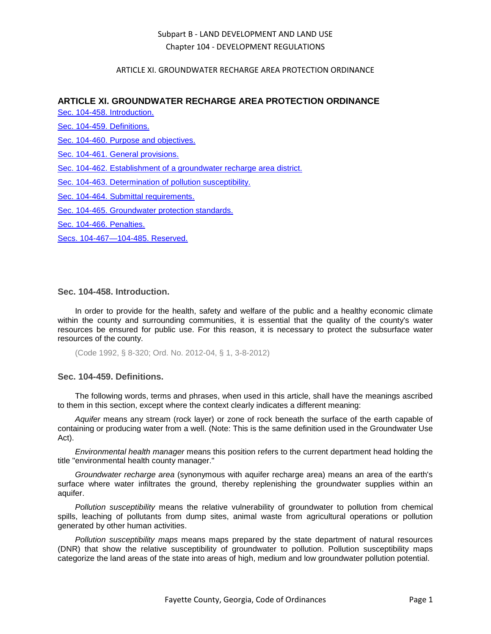### ARTICLE XI. GROUNDWATER RECHARGE AREA PROTECTION ORDINANCE

### **ARTICLE XI. GROUNDWATER RECHARGE AREA PROTECTION ORDINANCE**

[Sec. 104-458. Introduction.](#page-0-0)

[Sec. 104-459. Definitions.](#page-0-1)

[Sec. 104-460. Purpose and objectives.](#page-1-0)

[Sec. 104-461. General provisions.](#page-1-1)

[Sec. 104-462. Establishment of a groundwater recharge area district.](#page-1-2)

[Sec. 104-463. Determination of pollution susceptibility.](#page-2-0)

[Sec. 104-464. Submittal requirements.](#page-2-1)

[Sec. 104-465. Groundwater protection standards.](#page-2-2)

[Sec. 104-466. Penalties.](#page-3-0)

[Secs. 104-467—104-485. Reserved.](#page-4-0)

### <span id="page-0-0"></span>**Sec. 104-458. Introduction.**

In order to provide for the health, safety and welfare of the public and a healthy economic climate within the county and surrounding communities, it is essential that the quality of the county's water resources be ensured for public use. For this reason, it is necessary to protect the subsurface water resources of the county.

(Code 1992, § 8-320; Ord. No. 2012-04, § 1, 3-8-2012)

### <span id="page-0-1"></span>**Sec. 104-459. Definitions.**

The following words, terms and phrases, when used in this article, shall have the meanings ascribed to them in this section, except where the context clearly indicates a different meaning:

*Aquifer* means any stream (rock layer) or zone of rock beneath the surface of the earth capable of containing or producing water from a well. (Note: This is the same definition used in the Groundwater Use Act).

*Environmental health manager* means this position refers to the current department head holding the title "environmental health county manager."

*Groundwater recharge area* (synonymous with aquifer recharge area) means an area of the earth's surface where water infiltrates the ground, thereby replenishing the groundwater supplies within an aquifer.

*Pollution susceptibility* means the relative vulnerability of groundwater to pollution from chemical spills, leaching of pollutants from dump sites, animal waste from agricultural operations or pollution generated by other human activities.

*Pollution susceptibility maps* means maps prepared by the state department of natural resources (DNR) that show the relative susceptibility of groundwater to pollution. Pollution susceptibility maps categorize the land areas of the state into areas of high, medium and low groundwater pollution potential.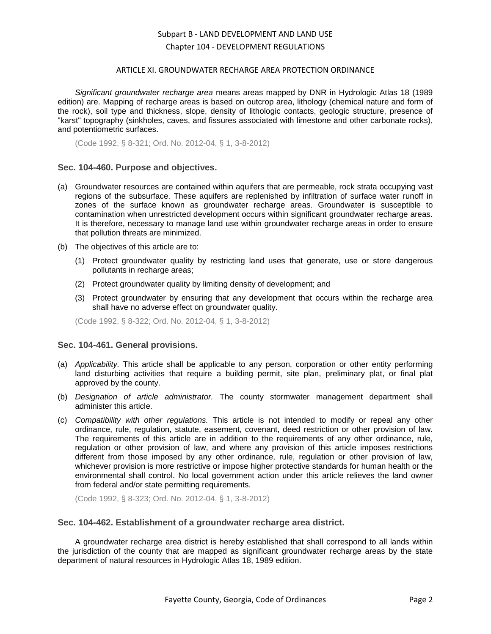#### ARTICLE XI. GROUNDWATER RECHARGE AREA PROTECTION ORDINANCE

*Significant groundwater recharge area* means areas mapped by DNR in Hydrologic Atlas 18 (1989 edition) are. Mapping of recharge areas is based on outcrop area, lithology (chemical nature and form of the rock), soil type and thickness, slope, density of lithologic contacts, geologic structure, presence of "karst" topography (sinkholes, caves, and fissures associated with limestone and other carbonate rocks), and potentiometric surfaces.

(Code 1992, § 8-321; Ord. No. 2012-04, § 1, 3-8-2012)

### <span id="page-1-0"></span>**Sec. 104-460. Purpose and objectives.**

- (a) Groundwater resources are contained within aquifers that are permeable, rock strata occupying vast regions of the subsurface. These aquifers are replenished by infiltration of surface water runoff in zones of the surface known as groundwater recharge areas. Groundwater is susceptible to contamination when unrestricted development occurs within significant groundwater recharge areas. It is therefore, necessary to manage land use within groundwater recharge areas in order to ensure that pollution threats are minimized.
- (b) The objectives of this article are to:
	- (1) Protect groundwater quality by restricting land uses that generate, use or store dangerous pollutants in recharge areas;
	- (2) Protect groundwater quality by limiting density of development; and
	- (3) Protect groundwater by ensuring that any development that occurs within the recharge area shall have no adverse effect on groundwater quality.

(Code 1992, § 8-322; Ord. No. 2012-04, § 1, 3-8-2012)

### <span id="page-1-1"></span>**Sec. 104-461. General provisions.**

- (a) *Applicability.* This article shall be applicable to any person, corporation or other entity performing land disturbing activities that require a building permit, site plan, preliminary plat, or final plat approved by the county.
- (b) *Designation of article administrator.* The county stormwater management department shall administer this article.
- (c) *Compatibility with other regulations.* This article is not intended to modify or repeal any other ordinance, rule, regulation, statute, easement, covenant, deed restriction or other provision of law. The requirements of this article are in addition to the requirements of any other ordinance, rule, regulation or other provision of law, and where any provision of this article imposes restrictions different from those imposed by any other ordinance, rule, regulation or other provision of law, whichever provision is more restrictive or impose higher protective standards for human health or the environmental shall control. No local government action under this article relieves the land owner from federal and/or state permitting requirements.

(Code 1992, § 8-323; Ord. No. 2012-04, § 1, 3-8-2012)

### <span id="page-1-2"></span>**Sec. 104-462. Establishment of a groundwater recharge area district.**

A groundwater recharge area district is hereby established that shall correspond to all lands within the jurisdiction of the county that are mapped as significant groundwater recharge areas by the state department of natural resources in Hydrologic Atlas 18, 1989 edition.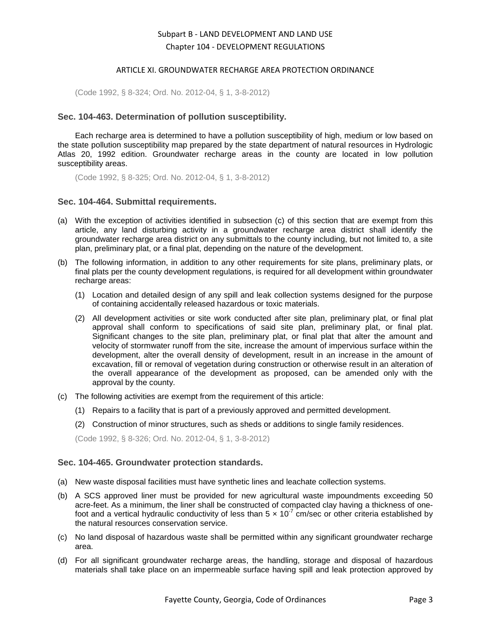#### ARTICLE XI. GROUNDWATER RECHARGE AREA PROTECTION ORDINANCE

(Code 1992, § 8-324; Ord. No. 2012-04, § 1, 3-8-2012)

### <span id="page-2-0"></span>**Sec. 104-463. Determination of pollution susceptibility.**

Each recharge area is determined to have a pollution susceptibility of high, medium or low based on the state pollution susceptibility map prepared by the state department of natural resources in Hydrologic Atlas 20, 1992 edition. Groundwater recharge areas in the county are located in low pollution susceptibility areas.

(Code 1992, § 8-325; Ord. No. 2012-04, § 1, 3-8-2012)

### <span id="page-2-1"></span>**Sec. 104-464. Submittal requirements.**

- (a) With the exception of activities identified in subsection (c) of this section that are exempt from this article, any land disturbing activity in a groundwater recharge area district shall identify the groundwater recharge area district on any submittals to the county including, but not limited to, a site plan, preliminary plat, or a final plat, depending on the nature of the development.
- (b) The following information, in addition to any other requirements for site plans, preliminary plats, or final plats per the county development regulations, is required for all development within groundwater recharge areas:
	- (1) Location and detailed design of any spill and leak collection systems designed for the purpose of containing accidentally released hazardous or toxic materials.
	- (2) All development activities or site work conducted after site plan, preliminary plat, or final plat approval shall conform to specifications of said site plan, preliminary plat, or final plat. Significant changes to the site plan, preliminary plat, or final plat that alter the amount and velocity of stormwater runoff from the site, increase the amount of impervious surface within the development, alter the overall density of development, result in an increase in the amount of excavation, fill or removal of vegetation during construction or otherwise result in an alteration of the overall appearance of the development as proposed, can be amended only with the approval by the county.
- (c) The following activities are exempt from the requirement of this article:
	- (1) Repairs to a facility that is part of a previously approved and permitted development.
	- (2) Construction of minor structures, such as sheds or additions to single family residences.

(Code 1992, § 8-326; Ord. No. 2012-04, § 1, 3-8-2012)

### <span id="page-2-2"></span>**Sec. 104-465. Groundwater protection standards.**

- (a) New waste disposal facilities must have synthetic lines and leachate collection systems.
- (b) A SCS approved liner must be provided for new agricultural waste impoundments exceeding 50 acre-feet. As a minimum, the liner shall be constructed of compacted clay having a thickness of onefoot and a vertical hydraulic conductivity of less than  $5 \times 10^{-7}$  cm/sec or other criteria established by the natural resources conservation service.
- (c) No land disposal of hazardous waste shall be permitted within any significant groundwater recharge area.
- (d) For all significant groundwater recharge areas, the handling, storage and disposal of hazardous materials shall take place on an impermeable surface having spill and leak protection approved by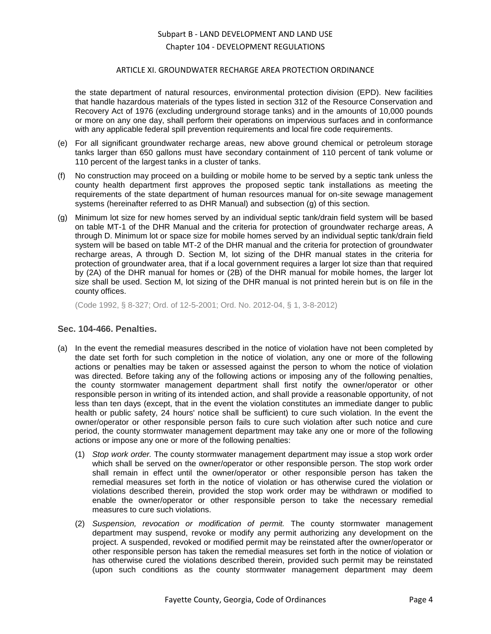### ARTICLE XI. GROUNDWATER RECHARGE AREA PROTECTION ORDINANCE

the state department of natural resources, environmental protection division (EPD). New facilities that handle hazardous materials of the types listed in section 312 of the Resource Conservation and Recovery Act of 1976 (excluding underground storage tanks) and in the amounts of 10,000 pounds or more on any one day, shall perform their operations on impervious surfaces and in conformance with any applicable federal spill prevention requirements and local fire code requirements.

- (e) For all significant groundwater recharge areas, new above ground chemical or petroleum storage tanks larger than 650 gallons must have secondary containment of 110 percent of tank volume or 110 percent of the largest tanks in a cluster of tanks.
- (f) No construction may proceed on a building or mobile home to be served by a septic tank unless the county health department first approves the proposed septic tank installations as meeting the requirements of the state department of human resources manual for on-site sewage management systems (hereinafter referred to as DHR Manual) and subsection (g) of this section.
- (g) Minimum lot size for new homes served by an individual septic tank/drain field system will be based on table MT-1 of the DHR Manual and the criteria for protection of groundwater recharge areas, A through D. Minimum lot or space size for mobile homes served by an individual septic tank/drain field system will be based on table MT-2 of the DHR manual and the criteria for protection of groundwater recharge areas, A through D. Section M, lot sizing of the DHR manual states in the criteria for protection of groundwater area, that if a local government requires a larger lot size than that required by (2A) of the DHR manual for homes or (2B) of the DHR manual for mobile homes, the larger lot size shall be used. Section M, lot sizing of the DHR manual is not printed herein but is on file in the county offices.

(Code 1992, § 8-327; Ord. of 12-5-2001; Ord. No. 2012-04, § 1, 3-8-2012)

### <span id="page-3-0"></span>**Sec. 104-466. Penalties.**

- (a) In the event the remedial measures described in the notice of violation have not been completed by the date set forth for such completion in the notice of violation, any one or more of the following actions or penalties may be taken or assessed against the person to whom the notice of violation was directed. Before taking any of the following actions or imposing any of the following penalties, the county stormwater management department shall first notify the owner/operator or other responsible person in writing of its intended action, and shall provide a reasonable opportunity, of not less than ten days (except, that in the event the violation constitutes an immediate danger to public health or public safety, 24 hours' notice shall be sufficient) to cure such violation. In the event the owner/operator or other responsible person fails to cure such violation after such notice and cure period, the county stormwater management department may take any one or more of the following actions or impose any one or more of the following penalties:
	- (1) *Stop work order.* The county stormwater management department may issue a stop work order which shall be served on the owner/operator or other responsible person. The stop work order shall remain in effect until the owner/operator or other responsible person has taken the remedial measures set forth in the notice of violation or has otherwise cured the violation or violations described therein, provided the stop work order may be withdrawn or modified to enable the owner/operator or other responsible person to take the necessary remedial measures to cure such violations.
	- (2) *Suspension, revocation or modification of permit.* The county stormwater management department may suspend, revoke or modify any permit authorizing any development on the project. A suspended, revoked or modified permit may be reinstated after the owner/operator or other responsible person has taken the remedial measures set forth in the notice of violation or has otherwise cured the violations described therein, provided such permit may be reinstated (upon such conditions as the county stormwater management department may deem